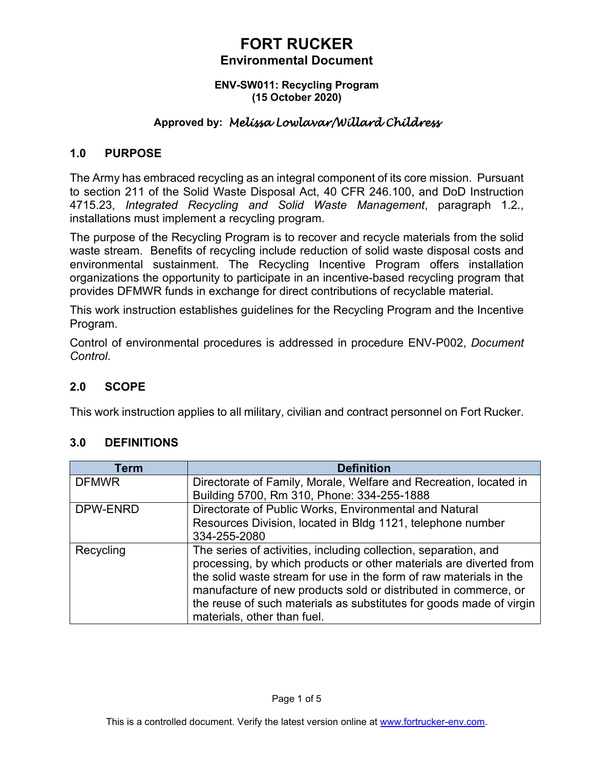#### **ENV-SW011: Recycling Program (15 October 2020)**

## **Approved by:** *Melissa Lowlavar/Willard Childress*

### **1.0 PURPOSE**

The Army has embraced recycling as an integral component of its core mission. Pursuant to section 211 of the Solid Waste Disposal Act, 40 CFR 246.100, and DoD Instruction 4715.23, *Integrated Recycling and Solid Waste Management*, paragraph 1.2., installations must implement a recycling program.

The purpose of the Recycling Program is to recover and recycle materials from the solid waste stream. Benefits of recycling include reduction of solid waste disposal costs and environmental sustainment. The Recycling Incentive Program offers installation organizations the opportunity to participate in an incentive-based recycling program that provides DFMWR funds in exchange for direct contributions of recyclable material.

This work instruction establishes guidelines for the Recycling Program and the Incentive Program.

Control of environmental procedures is addressed in procedure ENV-P002, *Document Control*.

## **2.0 SCOPE**

This work instruction applies to all military, civilian and contract personnel on Fort Rucker.

## **3.0 DEFINITIONS**

| <b>Term</b>  | <b>Definition</b>                                                   |
|--------------|---------------------------------------------------------------------|
| <b>DFMWR</b> | Directorate of Family, Morale, Welfare and Recreation, located in   |
|              | Building 5700, Rm 310, Phone: 334-255-1888                          |
| DPW-ENRD     | Directorate of Public Works, Environmental and Natural              |
|              | Resources Division, located in Bldg 1121, telephone number          |
|              | 334-255-2080                                                        |
| Recycling    | The series of activities, including collection, separation, and     |
|              | processing, by which products or other materials are diverted from  |
|              | the solid waste stream for use in the form of raw materials in the  |
|              | manufacture of new products sold or distributed in commerce, or     |
|              | the reuse of such materials as substitutes for goods made of virgin |
|              | materials, other than fuel.                                         |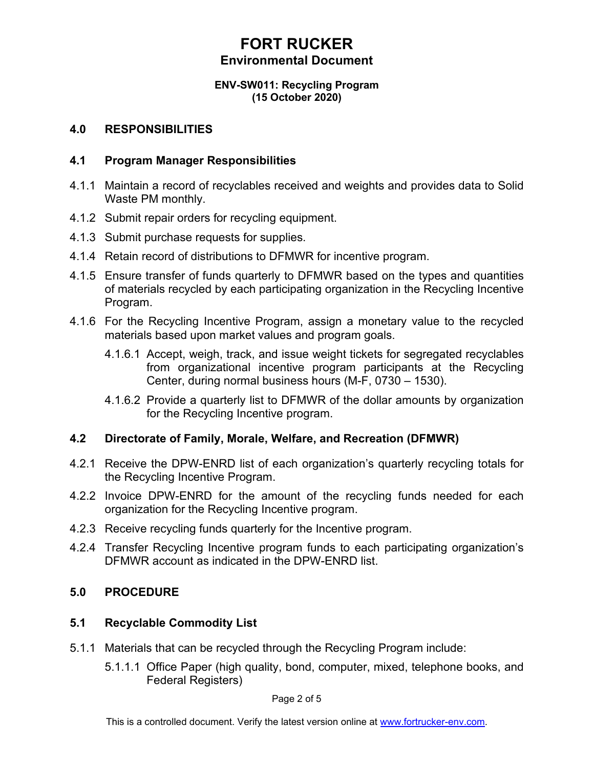#### **ENV-SW011: Recycling Program (15 October 2020)**

### **4.0 RESPONSIBILITIES**

### **4.1 Program Manager Responsibilities**

- 4.1.1 Maintain a record of recyclables received and weights and provides data to Solid Waste PM monthly.
- 4.1.2 Submit repair orders for recycling equipment.
- 4.1.3 Submit purchase requests for supplies.
- 4.1.4 Retain record of distributions to DFMWR for incentive program.
- 4.1.5 Ensure transfer of funds quarterly to DFMWR based on the types and quantities of materials recycled by each participating organization in the Recycling Incentive Program.
- 4.1.6 For the Recycling Incentive Program, assign a monetary value to the recycled materials based upon market values and program goals.
	- 4.1.6.1 Accept, weigh, track, and issue weight tickets for segregated recyclables from organizational incentive program participants at the Recycling Center, during normal business hours (M-F, 0730 – 1530).
	- 4.1.6.2 Provide a quarterly list to DFMWR of the dollar amounts by organization for the Recycling Incentive program.

## **4.2 Directorate of Family, Morale, Welfare, and Recreation (DFMWR)**

- 4.2.1 Receive the DPW-ENRD list of each organization's quarterly recycling totals for the Recycling Incentive Program.
- 4.2.2 Invoice DPW-ENRD for the amount of the recycling funds needed for each organization for the Recycling Incentive program.
- 4.2.3 Receive recycling funds quarterly for the Incentive program.
- 4.2.4 Transfer Recycling Incentive program funds to each participating organization's DFMWR account as indicated in the DPW-ENRD list.

## **5.0 PROCEDURE**

## **5.1 Recyclable Commodity List**

- 5.1.1 Materials that can be recycled through the Recycling Program include:
	- 5.1.1.1 Office Paper (high quality, bond, computer, mixed, telephone books, and Federal Registers)

Page 2 of 5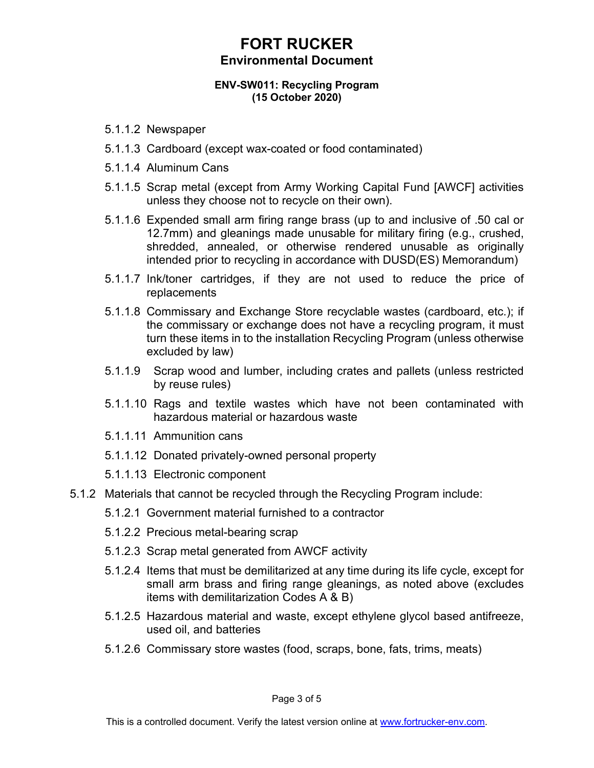#### **ENV-SW011: Recycling Program (15 October 2020)**

- 5.1.1.2 Newspaper
- 5.1.1.3 Cardboard (except wax-coated or food contaminated)
- 5.1.1.4 Aluminum Cans
- 5.1.1.5 Scrap metal (except from Army Working Capital Fund [AWCF] activities unless they choose not to recycle on their own).
- 5.1.1.6 Expended small arm firing range brass (up to and inclusive of .50 cal or 12.7mm) and gleanings made unusable for military firing (e.g., crushed, shredded, annealed, or otherwise rendered unusable as originally intended prior to recycling in accordance with DUSD(ES) Memorandum)
- 5.1.1.7 Ink/toner cartridges, if they are not used to reduce the price of replacements
- 5.1.1.8 Commissary and Exchange Store recyclable wastes (cardboard, etc.); if the commissary or exchange does not have a recycling program, it must turn these items in to the installation Recycling Program (unless otherwise excluded by law)
- 5.1.1.9 Scrap wood and lumber, including crates and pallets (unless restricted by reuse rules)
- 5.1.1.10 Rags and textile wastes which have not been contaminated with hazardous material or hazardous waste
- 5.1.1.11. Ammunition cans
- 5.1.1.12 Donated privately-owned personal property
- 5.1.1.13 Electronic component
- 5.1.2 Materials that cannot be recycled through the Recycling Program include:
	- 5.1.2.1 Government material furnished to a contractor
	- 5.1.2.2 Precious metal-bearing scrap
	- 5.1.2.3 Scrap metal generated from AWCF activity
	- 5.1.2.4 Items that must be demilitarized at any time during its life cycle, except for small arm brass and firing range gleanings, as noted above (excludes items with demilitarization Codes A & B)
	- 5.1.2.5 Hazardous material and waste, except ethylene glycol based antifreeze, used oil, and batteries
	- 5.1.2.6 Commissary store wastes (food, scraps, bone, fats, trims, meats)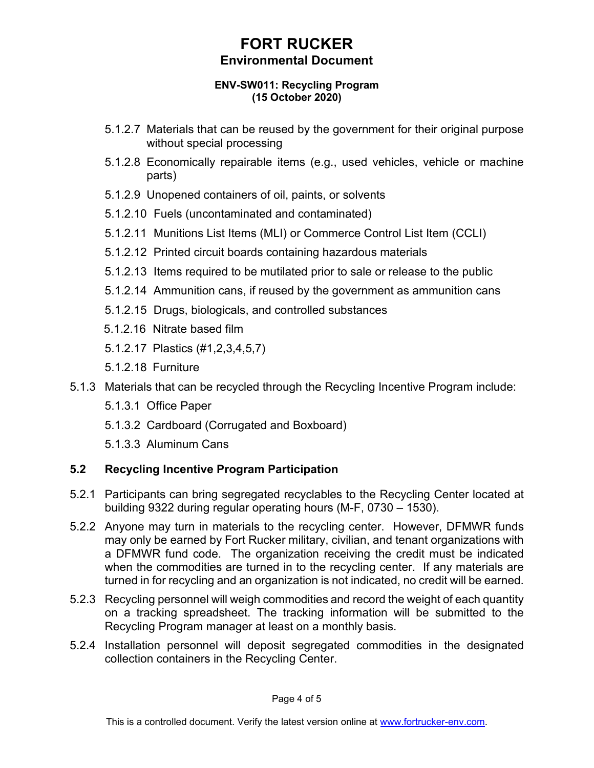#### **ENV-SW011: Recycling Program (15 October 2020)**

- 5.1.2.7 Materials that can be reused by the government for their original purpose without special processing
- 5.1.2.8 Economically repairable items (e.g., used vehicles, vehicle or machine parts)
- 5.1.2.9 Unopened containers of oil, paints, or solvents
- 5.1.2.10 Fuels (uncontaminated and contaminated)
- 5.1.2.11 Munitions List Items (MLI) or Commerce Control List Item (CCLI)
- 5.1.2.12 Printed circuit boards containing hazardous materials
- 5.1.2.13 Items required to be mutilated prior to sale or release to the public
- 5.1.2.14 Ammunition cans, if reused by the government as ammunition cans
- 5.1.2.15 Drugs, biologicals, and controlled substances
- 5.1.2.16 Nitrate based film
- 5.1.2.17 Plastics (#1,2,3,4,5,7)
- 5.1.2.18 Furniture
- 5.1.3 Materials that can be recycled through the Recycling Incentive Program include:
	- 5.1.3.1 Office Paper
	- 5.1.3.2 Cardboard (Corrugated and Boxboard)
	- 5.1.3.3 Aluminum Cans

# **5.2 Recycling Incentive Program Participation**

- 5.2.1 Participants can bring segregated recyclables to the Recycling Center located at building 9322 during regular operating hours (M-F, 0730 – 1530).
- 5.2.2 Anyone may turn in materials to the recycling center. However, DFMWR funds may only be earned by Fort Rucker military, civilian, and tenant organizations with a DFMWR fund code. The organization receiving the credit must be indicated when the commodities are turned in to the recycling center. If any materials are turned in for recycling and an organization is not indicated, no credit will be earned.
- 5.2.3 Recycling personnel will weigh commodities and record the weight of each quantity on a tracking spreadsheet. The tracking information will be submitted to the Recycling Program manager at least on a monthly basis.
- 5.2.4 Installation personnel will deposit segregated commodities in the designated collection containers in the Recycling Center.